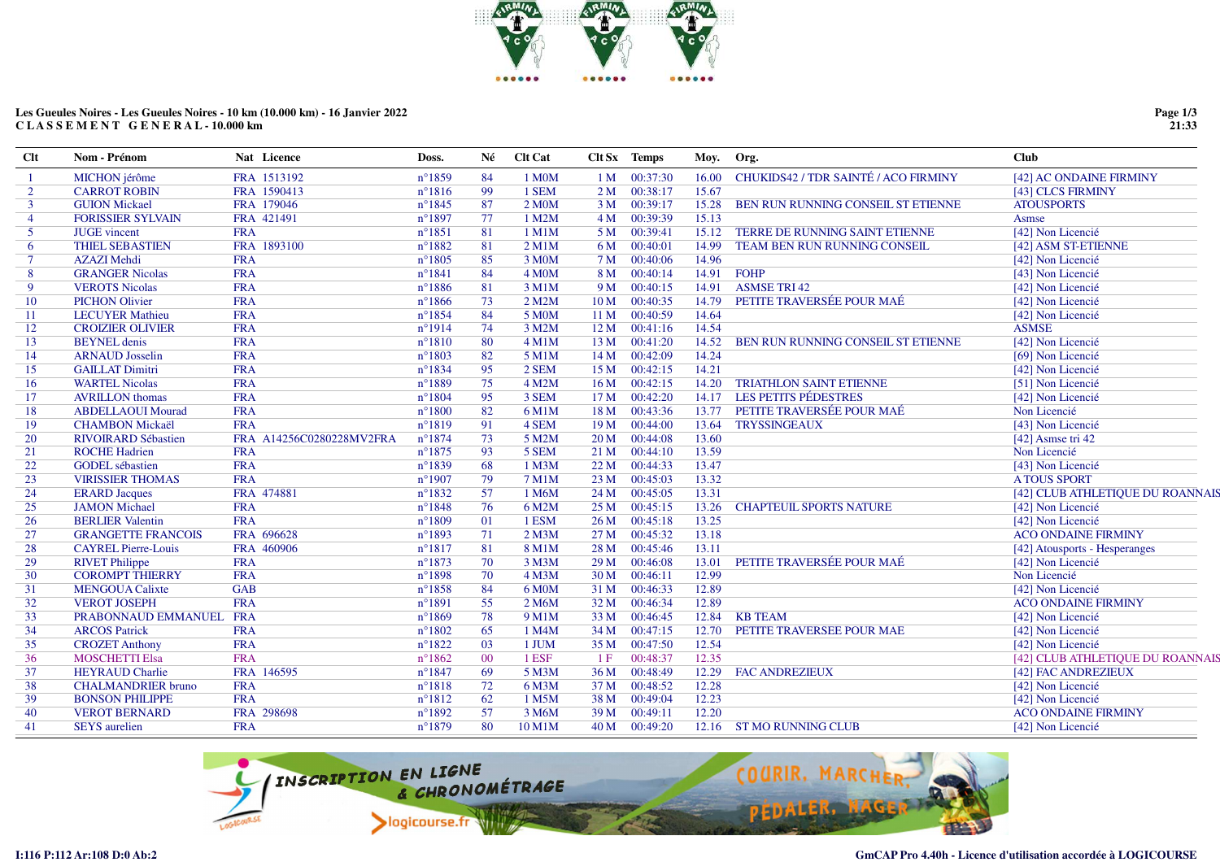

## **Les Gueules Noires - Les Gueules Noires - 10 km (10.000 km) - 16 Janvier 2022C L A S S E M E N T G E N E R A L - 10.000 km**

| <b>Clt</b>     | Nom - Prénom               | Nat Licence              | Doss.           | Né     | <b>Clt Cat</b>     |                 | <b>Clt Sx</b> Temps | Moy.  | Org.                                 | <b>Club</b>                      |
|----------------|----------------------------|--------------------------|-----------------|--------|--------------------|-----------------|---------------------|-------|--------------------------------------|----------------------------------|
| -1             | <b>MICHON</b> jérôme       | FRA 1513192              | $n^{\circ}1859$ | 84     | 1 M0M              | 1 <sub>M</sub>  | 00:37:30            | 16.00 | CHUKIDS42 / TDR SAINTÉ / ACO FIRMINY | [42] AC ONDAINE FIRMINY          |
| $\overline{2}$ | <b>CARROT ROBIN</b>        | FRA 1590413              | $n^{\circ}1816$ | 99     | 1 SEM              | 2 <sub>M</sub>  | 00:38:17            | 15.67 |                                      | [43] CLCS FIRMINY                |
| 3              | <b>GUION Mickael</b>       | FRA 179046               | $n^{\circ}1845$ | 87     | 2 M0M              | 3 <sub>M</sub>  | 00:39:17            | 15.28 | BEN RUN RUNNING CONSEIL ST ETIENNE   | <b>ATOUSPORTS</b>                |
| $\overline{4}$ | <b>FORISSIER SYLVAIN</b>   | FRA 421491               | $n^{\circ}1897$ | 77     | 1 M2M              | 4M              | 00:39:39            | 15.13 |                                      | Asmse                            |
| 5              | <b>JUGE</b> vincent        | <b>FRA</b>               | $n^{\circ}1851$ | 81     | $1$ M $1$ M        | 5 <sub>M</sub>  | 00:39:41            | 15.12 | TERRE DE RUNNING SAINT ETIENNE       | [42] Non Licencié                |
| 6              | <b>THIEL SEBASTIEN</b>     | FRA 1893100              | $n^{\circ}1882$ | 81     | $2$ M $1$ M        | 6 M             | 00:40:01            | 14.99 | TEAM BEN RUN RUNNING CONSEIL         | [42] ASM ST-ETIENNE              |
| $\tau$         | <b>AZAZI Mehdi</b>         | <b>FRA</b>               | $n^{\circ}1805$ | 85     | 3 M0M              | 7 M             | 00:40:06            | 14.96 |                                      | [42] Non Licencié                |
| 8              | <b>GRANGER Nicolas</b>     | <b>FRA</b>               | $n^{\circ}1841$ | 84     | 4 M <sub>O</sub> M | 8 M             | 00:40:14            | 14.91 | <b>FOHP</b>                          | [43] Non Licencié                |
| 9              | <b>VEROTS Nicolas</b>      | <b>FRA</b>               | $n^{\circ}1886$ | 81     | 3 M1M              | 9 M             | 00:40:15            | 14.91 | <b>ASMSE TRI 42</b>                  | [42] Non Licencié                |
| 10             | <b>PICHON Olivier</b>      | <b>FRA</b>               | $n^{\circ}1866$ | 73     | 2 M2M              | 10 <sub>M</sub> | 00:40:35            | 14.79 | PETITE TRAVERSÉE POUR MAÉ            | [42] Non Licencié                |
| 11             | <b>LECUYER Mathieu</b>     | <b>FRA</b>               | $n^{\circ}1854$ | 84     | 5 M0M              | 11 M            | 00:40:59            | 14.64 |                                      | [42] Non Licencié                |
| 12             | <b>CROIZIER OLIVIER</b>    | <b>FRA</b>               | $n^{\circ}1914$ | 74     | 3 M2M              | 12M             | 00:41:16            | 14.54 |                                      | <b>ASMSE</b>                     |
| 13             | <b>BEYNEL</b> denis        | <b>FRA</b>               | $n^{\circ}1810$ | 80     | $4$ M $1$ M        | 13 M            | 00:41:20            | 14.52 | BEN RUN RUNNING CONSEIL ST ETIENNE   | [42] Non Licencié                |
| 14             | <b>ARNAUD</b> Josselin     | <b>FRA</b>               | $n^{\circ}1803$ | 82     | 5 M1M              | 14 M            | 00:42:09            | 14.24 |                                      | [69] Non Licencié                |
| 15             | <b>GAILLAT Dimitri</b>     | <b>FRA</b>               | $n^{\circ}1834$ | 95     | 2 SEM              | 15 M            | 00:42:15            | 14.21 |                                      | [42] Non Licencié                |
| 16             | <b>WARTEL Nicolas</b>      | <b>FRA</b>               | $n^{\circ}1889$ | 75     | 4 M2M              | 16 <sub>M</sub> | 00:42:15            | 14.20 | <b>TRIATHLON SAINT ETIENNE</b>       | [51] Non Licencié                |
| 17             | <b>AVRILLON</b> thomas     | <b>FRA</b>               | $n^{\circ}1804$ | 95     | 3 SEM              | 17 <sub>M</sub> | 00:42:20            |       | 14.17 LES PETITS PÉDESTRES           | [42] Non Licencié                |
| 18             | <b>ABDELLAOUI Mourad</b>   | <b>FRA</b>               | $n^{\circ}1800$ | 82     | 6 M1M              | 18 M            | 00:43:36            | 13.77 | PETITE TRAVERSÉE POUR MAÉ            | Non Licencié                     |
| 19             | <b>CHAMBON Mickaël</b>     | <b>FRA</b>               | $n^{\circ}1819$ | 91     | 4 SEM              | 19 <sub>M</sub> | 00:44:00            | 13.64 | <b>TRYSSINGEAUX</b>                  | [43] Non Licencié                |
| 20             | <b>RIVOIRARD Sébastien</b> | FRA A14256C0280228MV2FRA | $n^{\circ}1874$ | 73     | 5 M2M              | 20 <sub>M</sub> | 00:44:08            | 13.60 |                                      | [42] Asmse tri 42                |
| 21             | <b>ROCHE Hadrien</b>       | <b>FRA</b>               | $n^{\circ}1875$ | 93     | 5 SEM              | 21 M            | 00:44:10            | 13.59 |                                      | Non Licencié                     |
| 22             | <b>GODEL</b> sébastien     | <b>FRA</b>               | $n^{\circ}1839$ | 68     | 1 M3M              | 22M             | 00:44:33            | 13.47 |                                      | [43] Non Licencié                |
| 23             | <b>VIRISSIER THOMAS</b>    | <b>FRA</b>               | $n^{\circ}1907$ | 79     | 7 M1M              | 23M             | 00:45:03            | 13.32 |                                      | <b>A TOUS SPORT</b>              |
| 24             | <b>ERARD</b> Jacques       | FRA 474881               | $n^{\circ}1832$ | 57     | 1 M6M              | 24 M            | 00:45:05            | 13.31 |                                      | [42] CLUB ATHLETIQUE DU ROANNAIS |
| 25             | <b>JAMON</b> Michael       | <b>FRA</b>               | $n^{\circ}1848$ | 76     | 6 M2M              | 25 M            | 00:45:15            | 13.26 | <b>CHAPTEUIL SPORTS NATURE</b>       | [42] Non Licencié                |
| 26             | <b>BERLIER Valentin</b>    | <b>FRA</b>               | $n^{\circ}1809$ | 01     | 1 ESM              | 26M             | 00:45:18            | 13.25 |                                      | [42] Non Licencié                |
| 27             | <b>GRANGETTE FRANCOIS</b>  | FRA 696628               | $n^{\circ}1893$ | 71     | $2$ M $3$ M        | 27 M            | 00:45:32            | 13.18 |                                      | <b>ACO ONDAINE FIRMINY</b>       |
| 28             | <b>CAYREL Pierre-Louis</b> | FRA 460906               | $n^{\circ}1817$ | 81     | 8 M1M              | 28 M            | 00:45:46            | 13.11 |                                      | [42] Atousports - Hesperanges    |
| 29             | <b>RIVET Philippe</b>      | <b>FRA</b>               | $n^{\circ}1873$ | 70     | 3 M3M              | 29 <sub>M</sub> | 00:46:08            | 13.01 | PETITE TRAVERSÉE POUR MAÉ            | [42] Non Licencié                |
| 30             | <b>COROMPT THIERRY</b>     | <b>FRA</b>               | $n^{\circ}1898$ | 70     | 4 M3M              | 30 <sub>M</sub> | 00:46:11            | 12.99 |                                      | Non Licencié                     |
| 31             | <b>MENGOUA Calixte</b>     | <b>GAB</b>               | $n^{\circ}1858$ | 84     | 6 M0M              | 31 M            | 00:46:33            | 12.89 |                                      | [42] Non Licencié                |
| 32             | <b>VEROT JOSEPH</b>        | <b>FRA</b>               | $n^{\circ}1891$ | 55     | 2 M6M              | 32 M            | 00:46:34            | 12.89 |                                      | <b>ACO ONDAINE FIRMINY</b>       |
| 33             | PRABONNAUD EMMANUEL FRA    |                          | $n^{\circ}1869$ | 78     | 9 M1M              | 33 M            | 00:46:45            | 12.84 | <b>KB TEAM</b>                       | [42] Non Licencié                |
| 34             | <b>ARCOS Patrick</b>       | <b>FRA</b>               | $n^{\circ}1802$ | 65     | 1 M4M              | 34 M            | 00:47:15            | 12.70 | PETITE TRAVERSEE POUR MAE            | [42] Non Licencié                |
| 35             | <b>CROZET Anthony</b>      | <b>FRA</b>               | $n^{\circ}1822$ | 03     | 1 JUM              | 35 M            | 00:47:50            | 12.54 |                                      | [42] Non Licencié                |
| 36             | <b>MOSCHETTI Elsa</b>      | <b>FRA</b>               | $n^{\circ}1862$ | $00\,$ | 1 ESF              | 1F              | 00:48:37            | 12.35 |                                      | [42] CLUB ATHLETIQUE DU ROANNAIS |
| 37             | <b>HEYRAUD Charlie</b>     | FRA 146595               | $n^{\circ}1847$ | 69     | 5 M3M              | 36 M            | 00:48:49            | 12.29 | <b>FAC ANDREZIEUX</b>                | [42] FAC ANDREZIEUX              |
| 38             | <b>CHALMANDRIER</b> bruno  | <b>FRA</b>               | $n^{\circ}1818$ | 72     | 6 M3M              | 37 M            | 00:48:52            | 12.28 |                                      | [42] Non Licencié                |
| 39             | <b>BONSON PHILIPPE</b>     | <b>FRA</b>               | $n^{\circ}1812$ | 62     | 1 M5M              | 38 M            | 00:49:04            | 12.23 |                                      | [42] Non Licencié                |
| 40             | <b>VEROT BERNARD</b>       | FRA 298698               | $n^{\circ}1892$ | 57     | 3 M6M              | 39 M            | 00:49:11            | 12.20 |                                      | <b>ACO ONDAINE FIRMINY</b>       |
| 41             | <b>SEYS</b> aurelien       | <b>FRA</b>               | $n^{\circ}1879$ | 80     | 10 M1M             | 40 M            | 00:49:20            |       | 12.16 ST MO RUNNING CLUB             | [42] Non Licencié                |



**I:116 P:112 Ar:108 D:0 Ab:2**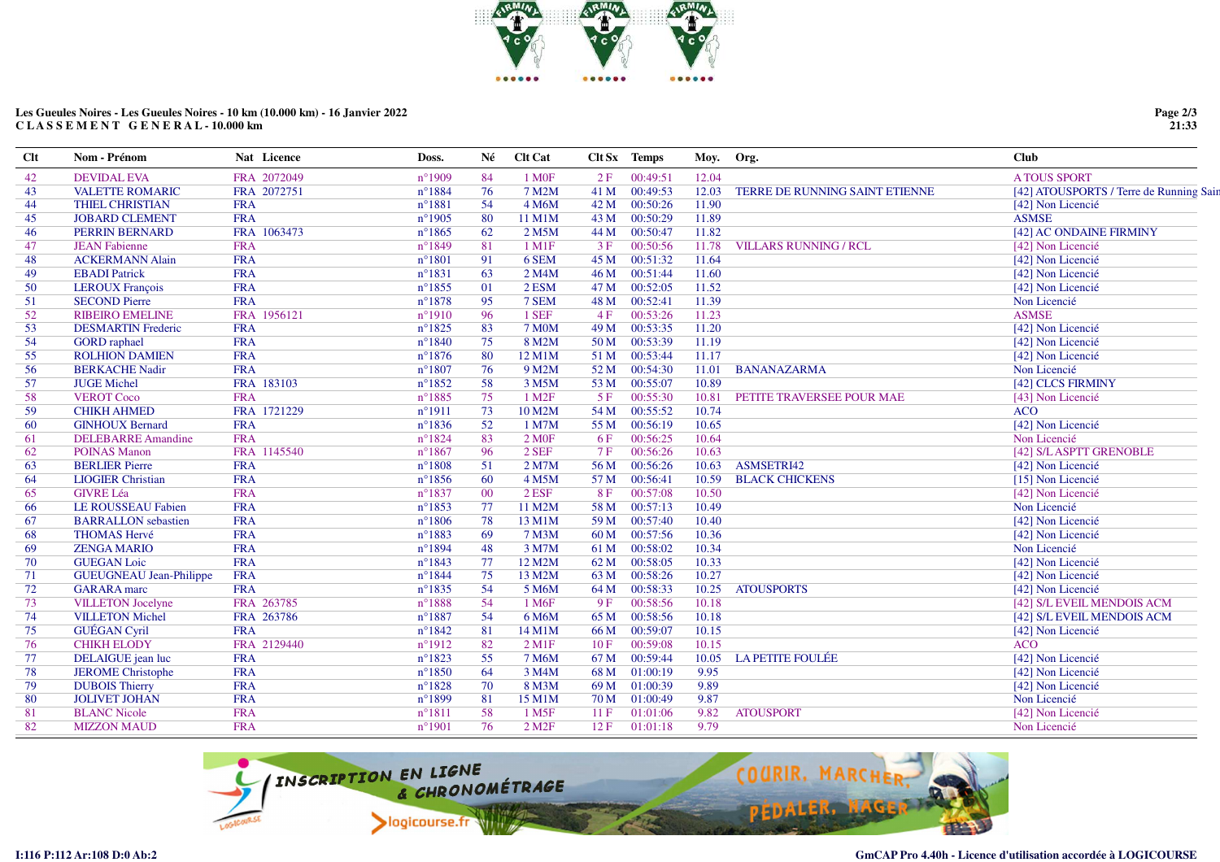

## **Les Gueules Noires - Les Gueules Noires - 10 km (10.000 km) - 16 Janvier 2022C L A S S E M E N T G E N E R A L - 10.000 km**

| <b>Clt</b> | Nom - Prénom                   | Nat Licence | Doss.            | Né | <b>Clt Cat</b>       |      | Clt Sx Temps | Moy. Org. |                                | <b>Club</b>                             |
|------------|--------------------------------|-------------|------------------|----|----------------------|------|--------------|-----------|--------------------------------|-----------------------------------------|
| 42         | <b>DEVIDAL EVA</b>             | FRA 2072049 | $n^{\circ}1909$  | 84 | 1 M <sub>OF</sub>    | 2F   | 00:49:51     | 12.04     |                                | <b>A TOUS SPORT</b>                     |
| 43         | <b>VALETTE ROMARIC</b>         | FRA 2072751 | $n^{\circ}1884$  | 76 | 7 M2M                | 41 M | 00:49:53     | 12.03     | TERRE DE RUNNING SAINT ETIENNE | [42] ATOUSPORTS / Terre de Running Sain |
| 44         | <b>THIEL CHRISTIAN</b>         | <b>FRA</b>  | $n^{\circ}1881$  | 54 | 4 M6M                | 42 M | 00:50:26     | 11.90     |                                | [42] Non Licencié                       |
| 45         | <b>JOBARD CLEMENT</b>          | <b>FRA</b>  | $n^{\circ}$ 1905 | 80 | 11 M1M               | 43 M | 00:50:29     | 11.89     |                                | <b>ASMSE</b>                            |
| 46         | PERRIN BERNARD                 | FRA 1063473 | $n^{\circ}1865$  | 62 | 2 M5M                | 44 M | 00:50:47     | 11.82     |                                | [42] AC ONDAINE FIRMINY                 |
| 47         | <b>JEAN Fabienne</b>           | <b>FRA</b>  | $n^{\circ}1849$  | 81 | $1$ M $1$ F          | 3F   | 00:50:56     | 11.78     | <b>VILLARS RUNNING / RCL</b>   | [42] Non Licencié                       |
| 48         | <b>ACKERMANN Alain</b>         | <b>FRA</b>  | $n^{\circ}1801$  | 91 | 6 SEM                | 45 M | 00:51:32     | 11.64     |                                | [42] Non Licencié                       |
| 49         | <b>EBADI</b> Patrick           | <b>FRA</b>  | $n^{\circ}1831$  | 63 | 2 M4M                | 46 M | 00:51:44     | 11.60     |                                | [42] Non Licencié                       |
| 50         | <b>LEROUX François</b>         | <b>FRA</b>  | $n^{\circ}$ 1855 | 01 | $2$ ESM              | 47 M | 00:52:05     | 11.52     |                                | [42] Non Licencié                       |
| 51         | <b>SECOND Pierre</b>           | <b>FRA</b>  | $n^{\circ}1878$  | 95 | 7 SEM                | 48 M | 00:52:41     | 11.39     |                                | Non Licencié                            |
| 52         | <b>RIBEIRO EMELINE</b>         | FRA 1956121 | $n^{\circ}1910$  | 96 | 1 SEF                | 4F   | 00:53:26     | 11.23     |                                | <b>ASMSE</b>                            |
| 53         | <b>DESMARTIN Frederic</b>      | <b>FRA</b>  | $n^{\circ}1825$  | 83 | <b>7 M0M</b>         | 49 M | 00:53:35     | 11.20     |                                | [42] Non Licencié                       |
| 54         | <b>GORD</b> raphael            | <b>FRA</b>  | $n^{\circ}1840$  | 75 | 8 M2M                | 50 M | 00:53:39     | 11.19     |                                | [42] Non Licencié                       |
| 55         | <b>ROLHION DAMIEN</b>          | <b>FRA</b>  | $n^{\circ}1876$  | 80 | 12 M1M               | 51 M | 00:53:44     | 11.17     |                                | [42] Non Licencié                       |
| 56         | <b>BERKACHE Nadir</b>          | <b>FRA</b>  | $n^{\circ}1807$  | 76 | 9 M2M                | 52 M | 00:54:30     | 11.01     | <b>BANANAZARMA</b>             | Non Licencié                            |
| 57         | <b>JUGE Michel</b>             | FRA 183103  | $n^{\circ}1852$  | 58 | 3 M5M                | 53 M | 00:55:07     | 10.89     |                                | [42] CLCS FIRMINY                       |
| 58         | <b>VEROT Coco</b>              | <b>FRA</b>  | $n^{\circ}$ 1885 | 75 | 1 M <sub>2</sub> F   | 5F   | 00:55:30     | 10.81     | PETITE TRAVERSEE POUR MAE      | [43] Non Licencié                       |
| 59         | <b>CHIKH AHMED</b>             | FRA 1721229 | $n^{\circ}1911$  | 73 | 10 M2M               | 54 M | 00:55:52     | 10.74     |                                | <b>ACO</b>                              |
| 60         | <b>GINHOUX Bernard</b>         | <b>FRA</b>  | $n^{\circ}1836$  | 52 | 1 M7M                | 55 M | 00:56:19     | 10.65     |                                | [42] Non Licencié                       |
| 61         | <b>DELEBARRE Amandine</b>      | <b>FRA</b>  | $n^{\circ}1824$  | 83 | 2 MOF                | 6 F  | 00:56:25     | 10.64     |                                | Non Licencié                            |
| 62         | <b>POINAS Manon</b>            | FRA 1145540 | $n^{\circ}1867$  | 96 | $2$ SEF              | 7F   | 00:56:26     | 10.63     |                                | [42] S/L ASPTT GRENOBLE                 |
| 63         | <b>BERLIER Pierre</b>          | <b>FRA</b>  | $n^{\circ}1808$  | 51 | $2$ M7M              | 56 M | 00:56:26     | 10.63     | ASMSETRI42                     | [42] Non Licencié                       |
| 64         | <b>LIOGIER Christian</b>       | <b>FRA</b>  | $n^{\circ}1856$  | 60 | 4 M5M                | 57 M | 00:56:41     | 10.59     | <b>BLACK CHICKENS</b>          | [15] Non Licencié                       |
| 65         | <b>GIVRE Léa</b>               | <b>FRA</b>  | $n^{\circ}1837$  | 00 | $2$ ESF              | 8F   | 00:57:08     | 10.50     |                                | [42] Non Licencié                       |
| 66         | <b>LE ROUSSEAU Fabien</b>      | <b>FRA</b>  | $n^{\circ}1853$  | 77 | 11 M2M               | 58 M | 00:57:13     | 10.49     |                                | Non Licencié                            |
| 67         | <b>BARRALLON</b> sebastien     | <b>FRA</b>  | $n^{\circ}1806$  | 78 | 13 M1M               | 59 M | 00:57:40     | 10.40     |                                | [42] Non Licencié                       |
| 68         | <b>THOMAS Hervé</b>            | <b>FRA</b>  | $n^{\circ}$ 1883 | 69 | 7 M3M                | 60 M | 00:57:56     | 10.36     |                                | [42] Non Licencié                       |
| 69         | <b>ZENGA MARIO</b>             | <b>FRA</b>  | $n^{\circ}1894$  | 48 | 3 M7M                | 61 M | 00:58:02     | 10.34     |                                | Non Licencié                            |
| 70         | <b>GUEGAN Loic</b>             | <b>FRA</b>  | $n^{\circ}1843$  | 77 | 12 M2M               | 62 M | 00:58:05     | 10.33     |                                | [42] Non Licencié                       |
| 71         | <b>GUEUGNEAU Jean-Philippe</b> | <b>FRA</b>  | $n^{\circ}1844$  | 75 | 13 M2M               | 63 M | 00:58:26     | 10.27     |                                | [42] Non Licencié                       |
| 72         | <b>GARARA</b> marc             | <b>FRA</b>  | $n^{\circ}1835$  | 54 | 5 M6M                | 64 M | 00:58:33     | 10.25     | <b>ATOUSPORTS</b>              | [42] Non Licencié                       |
| 73         | <b>VILLETON Jocelyne</b>       | FRA 263785  | $n^{\circ}1888$  | 54 | 1 M <sub>6F</sub>    | 9F   | 00:58:56     | 10.18     |                                | [42] S/L EVEIL MENDOIS ACM              |
| 74         | <b>VILLETON Michel</b>         | FRA 263786  | $n^{\circ}1887$  | 54 | 6 M6M                | 65 M | 00:58:56     | 10.18     |                                | [42] S/L EVEIL MENDOIS ACM              |
| 75         | <b>GUÉGAN Cyril</b>            | <b>FRA</b>  | $n^{\circ}1842$  | 81 | 14 M1M               | 66 M | 00:59:07     | 10.15     |                                | [42] Non Licencié                       |
| 76         | <b>CHIKH ELODY</b>             | FRA 2129440 | $n^{\circ}1912$  | 82 | $2$ M <sub>1</sub> F | 10F  | 00:59:08     | 10.15     |                                | <b>ACO</b>                              |
| 77         | DELAIGUE jean luc              | <b>FRA</b>  | $n^{\circ}1823$  | 55 | 7 M6M                | 67 M | 00:59:44     | 10.05     | LA PETITE FOULÉE               | [42] Non Licencié                       |
| 78         | <b>JEROME</b> Christophe       | <b>FRA</b>  | $n^{\circ}1850$  | 64 | 3 M4M                | 68 M | 01:00:19     | 9.95      |                                | [42] Non Licencié                       |
| 79         | <b>DUBOIS Thierry</b>          | <b>FRA</b>  | $n^{\circ}1828$  | 70 | 8 M3M                | 69 M | 01:00:39     | 9.89      |                                | [42] Non Licencié                       |
| 80         | <b>JOLIVET JOHAN</b>           | <b>FRA</b>  | $n^{\circ}1899$  | 81 | 15 M1M               | 70 M | 01:00:49     | 9.87      |                                | Non Licencié                            |
| 81         | <b>BLANC Nicole</b>            | <b>FRA</b>  | $n^{\circ}1811$  | 58 | 1 M <sub>5F</sub>    | 11F  | 01:01:06     | 9.82      | <b>ATOUSPORT</b>               | [42] Non Licencié                       |
| 82         | <b>MIZZON MAUD</b>             | <b>FRA</b>  | $n^{\circ}1901$  | 76 | $2$ M <sub>2</sub> F | 12F  | 01:01:18     | 9.79      |                                | Non Licencié                            |
|            |                                |             |                  |    |                      |      |              |           |                                |                                         |



**Page 2/3 21:33**